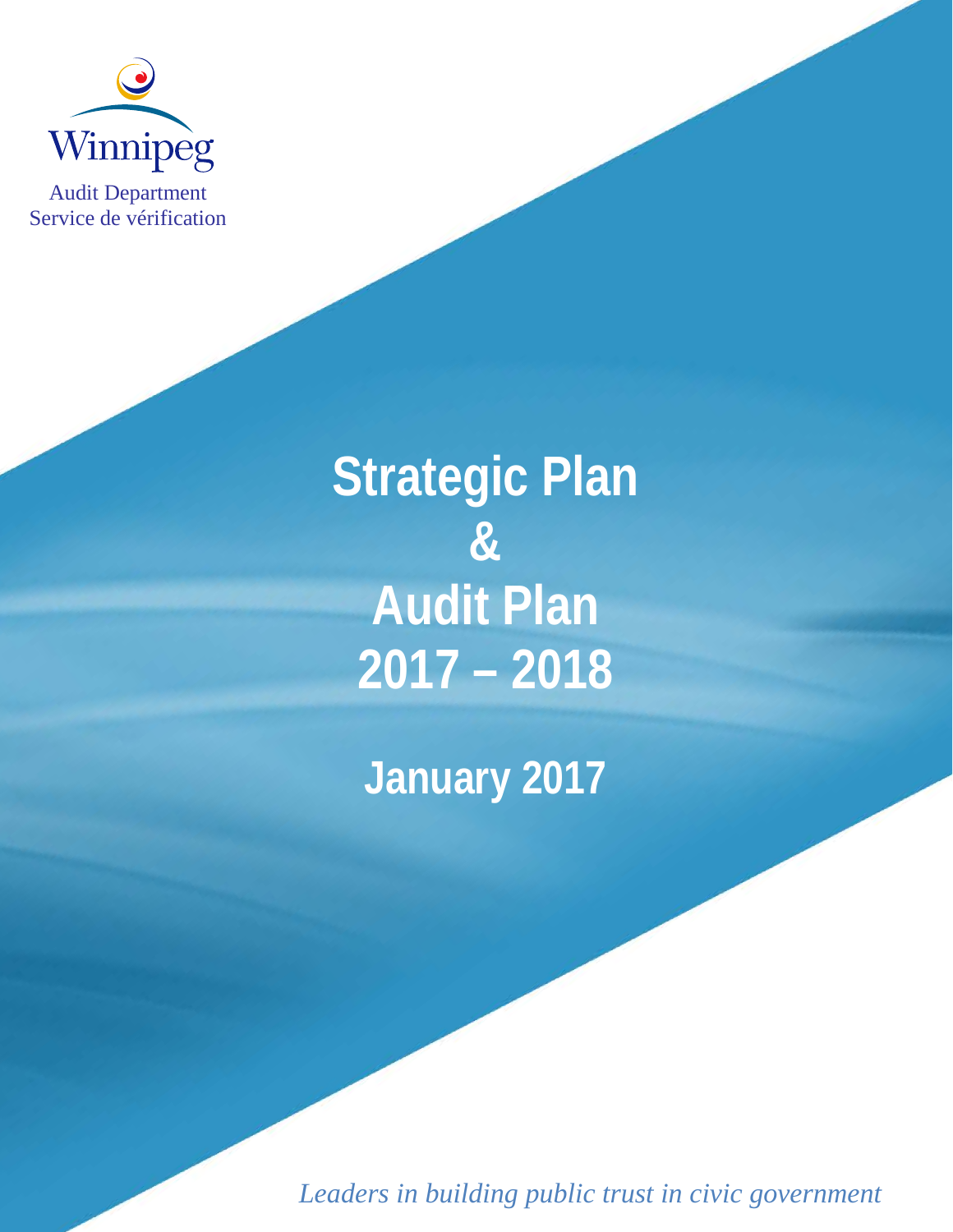

Audit Department Service de vérification

> **Strategic Plan & Audit Plan 2017 – 2018**

**January 2017**

*Leaders in building public trust in civic government*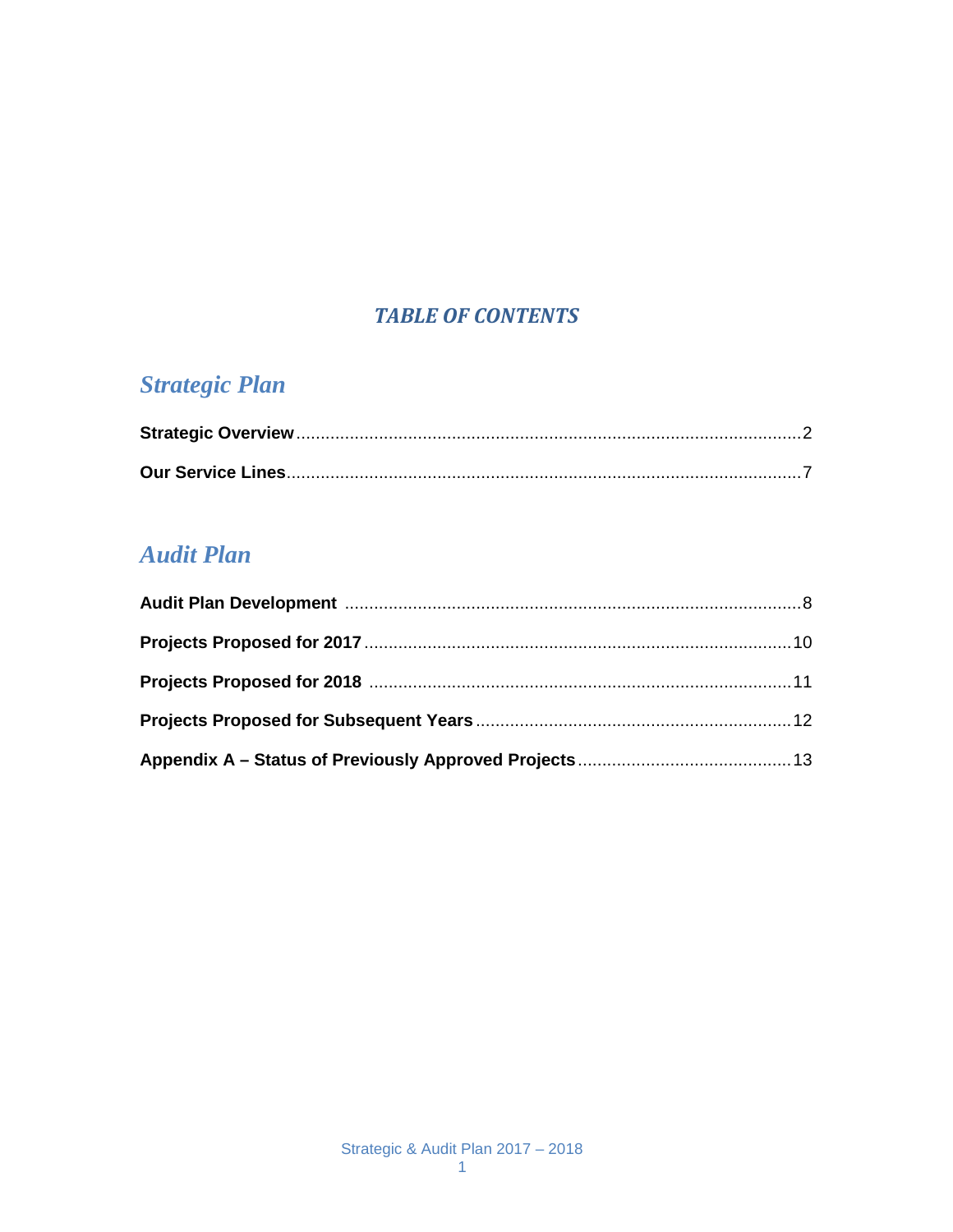#### **TABLE OF CONTENTS**

## **Strategic Plan**

## **Audit Plan**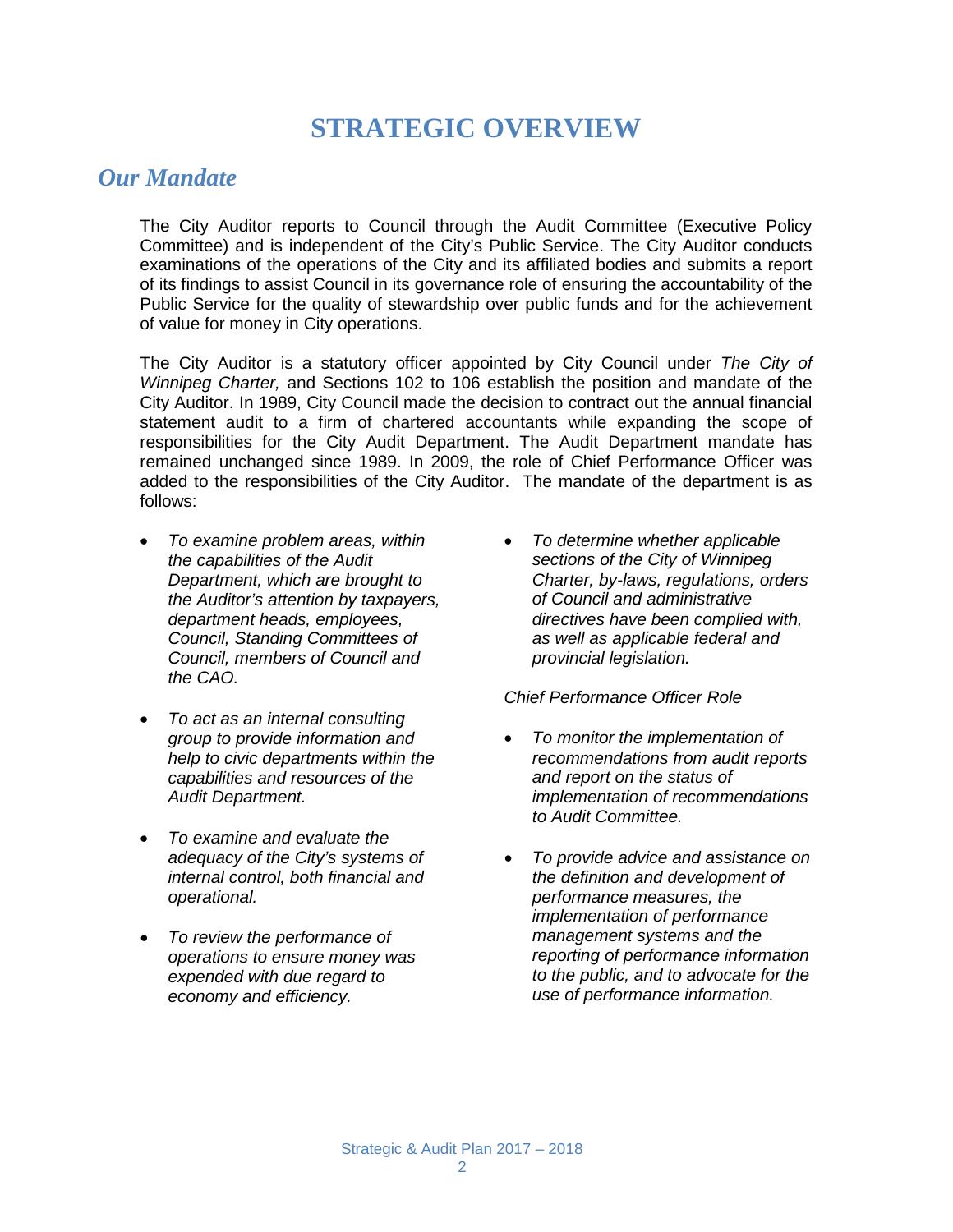## **STRATEGIC OVERVIEW**

#### *Our Mandate*

The City Auditor reports to Council through the Audit Committee (Executive Policy Committee) and is independent of the City's Public Service. The City Auditor conducts examinations of the operations of the City and its affiliated bodies and submits a report of its findings to assist Council in its governance role of ensuring the accountability of the Public Service for the quality of stewardship over public funds and for the achievement of value for money in City operations.

The City Auditor is a statutory officer appointed by City Council under *The City of Winnipeg Charter,* and Sections 102 to 106 establish the position and mandate of the City Auditor. In 1989, City Council made the decision to contract out the annual financial statement audit to a firm of chartered accountants while expanding the scope of responsibilities for the City Audit Department. The Audit Department mandate has remained unchanged since 1989. In 2009, the role of Chief Performance Officer was added to the responsibilities of the City Auditor. The mandate of the department is as follows:

- *To examine problem areas, within the capabilities of the Audit Department, which are brought to the Auditor's attention by taxpayers, department heads, employees, Council, Standing Committees of Council, members of Council and the CAO.*
- *To act as an internal consulting group to provide information and help to civic departments within the capabilities and resources of the Audit Department.*
- *To examine and evaluate the adequacy of the City's systems of internal control, both financial and operational.*
- *To review the performance of operations to ensure money was expended with due regard to economy and efficiency.*

• *To determine whether applicable sections of the City of Winnipeg Charter, by-laws, regulations, orders of Council and administrative directives have been complied with, as well as applicable federal and provincial legislation.*

#### *Chief Performance Officer Role*

- *To monitor the implementation of recommendations from audit reports and report on the status of implementation of recommendations to Audit Committee.*
- *To provide advice and assistance on the definition and development of performance measures, the implementation of performance management systems and the reporting of performance information to the public, and to advocate for the use of performance information.*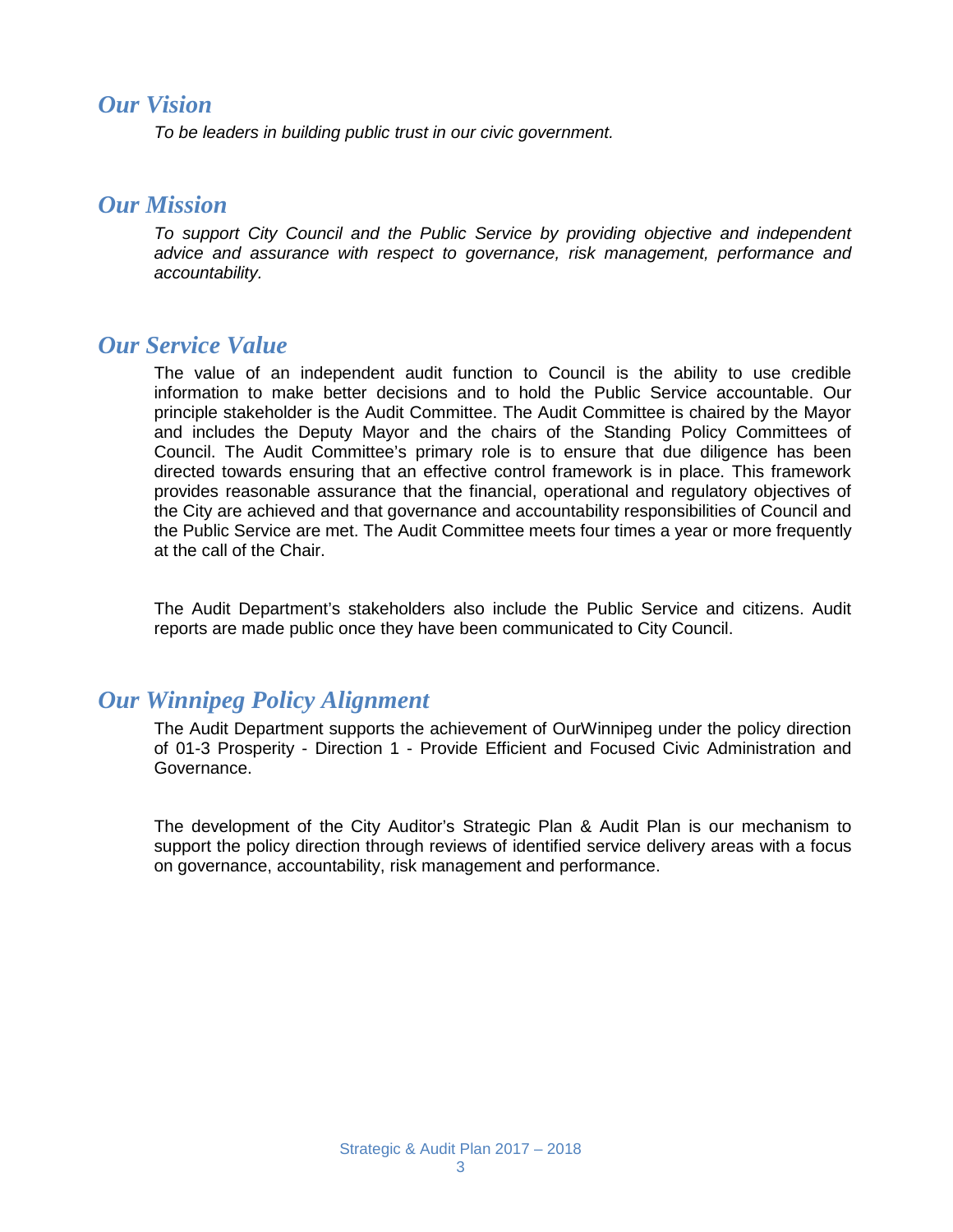#### *Our Vision*

*To be leaders in building public trust in our civic government.* 

#### *Our Mission*

*To support City Council and the Public Service by providing objective and independent advice and assurance with respect to governance, risk management, performance and accountability.*

#### *Our Service Value*

The value of an independent audit function to Council is the ability to use credible information to make better decisions and to hold the Public Service accountable. Our principle stakeholder is the Audit Committee. The Audit Committee is chaired by the Mayor and includes the Deputy Mayor and the chairs of the Standing Policy Committees of Council. The Audit Committee's primary role is to ensure that due diligence has been directed towards ensuring that an effective control framework is in place. This framework provides reasonable assurance that the financial, operational and regulatory objectives of the City are achieved and that governance and accountability responsibilities of Council and the Public Service are met. The Audit Committee meets four times a year or more frequently at the call of the Chair.

The Audit Department's stakeholders also include the Public Service and citizens. Audit reports are made public once they have been communicated to City Council.

#### *Our Winnipeg Policy Alignment*

The Audit Department supports the achievement of OurWinnipeg under the policy direction of 01-3 Prosperity - Direction 1 - Provide Efficient and Focused Civic Administration and Governance.

The development of the City Auditor's Strategic Plan & Audit Plan is our mechanism to support the policy direction through reviews of identified service delivery areas with a focus on governance, accountability, risk management and performance.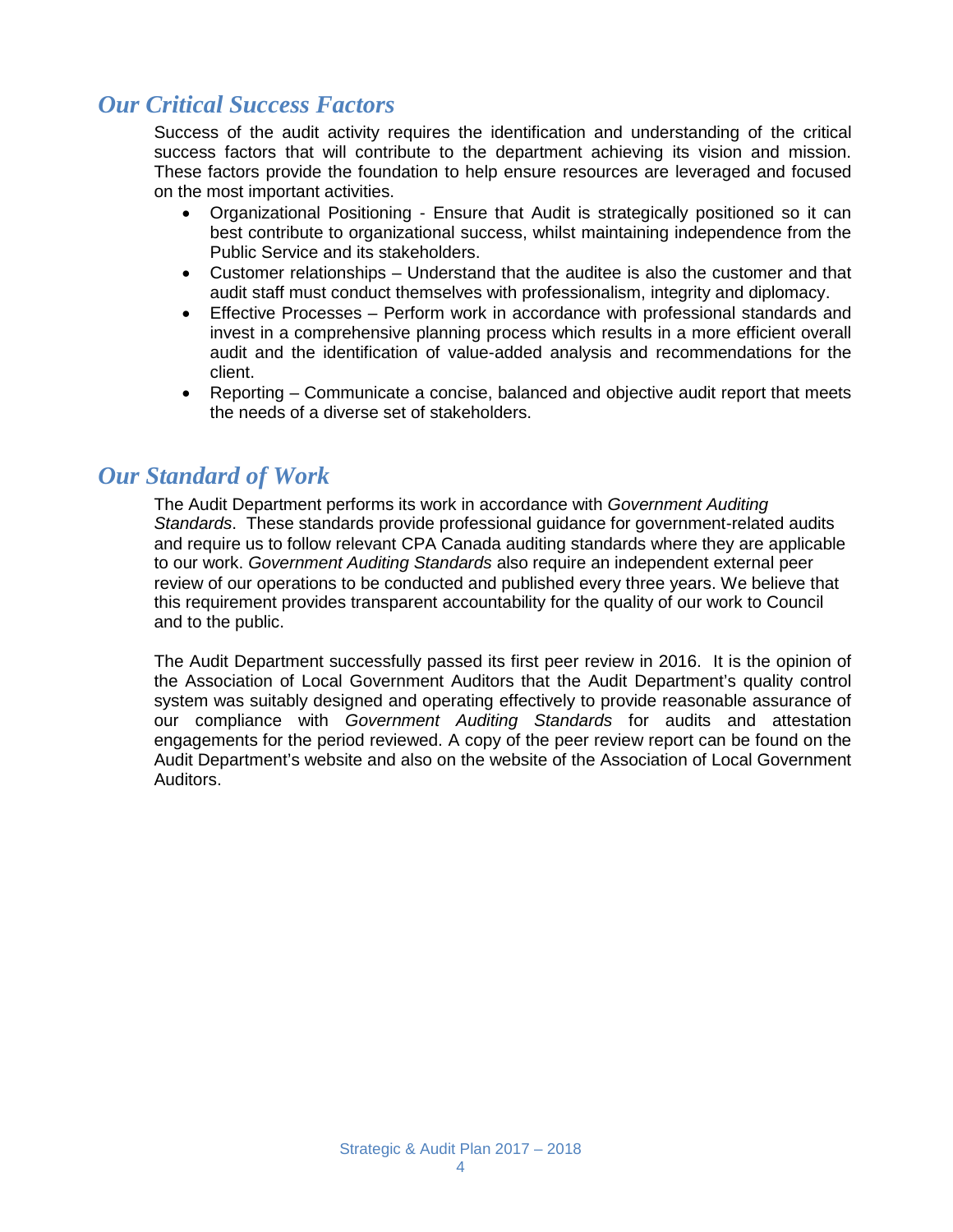## *Our Critical Success Factors*

Success of the audit activity requires the identification and understanding of the critical success factors that will contribute to the department achieving its vision and mission. These factors provide the foundation to help ensure resources are leveraged and focused on the most important activities.

- Organizational Positioning Ensure that Audit is strategically positioned so it can best contribute to organizational success, whilst maintaining independence from the Public Service and its stakeholders.
- Customer relationships Understand that the auditee is also the customer and that audit staff must conduct themselves with professionalism, integrity and diplomacy.
- Effective Processes Perform work in accordance with professional standards and invest in a comprehensive planning process which results in a more efficient overall audit and the identification of value-added analysis and recommendations for the client.
- Reporting Communicate a concise, balanced and objective audit report that meets the needs of a diverse set of stakeholders.

#### *Our Standard of Work*

The Audit Department performs its work in accordance with *Government Auditing Standards*. These standards provide professional guidance for government-related audits and require us to follow relevant CPA Canada auditing standards where they are applicable to our work. *Government Auditing Standards* also require an independent external peer review of our operations to be conducted and published every three years. We believe that this requirement provides transparent accountability for the quality of our work to Council and to the public.

The Audit Department successfully passed its first peer review in 2016. It is the opinion of the Association of Local Government Auditors that the Audit Department's quality control system was suitably designed and operating effectively to provide reasonable assurance of our compliance with *Government Auditing Standards* for audits and attestation engagements for the period reviewed. A copy of the peer review report can be found on the Audit Department's website and also on the website of the Association of Local Government Auditors.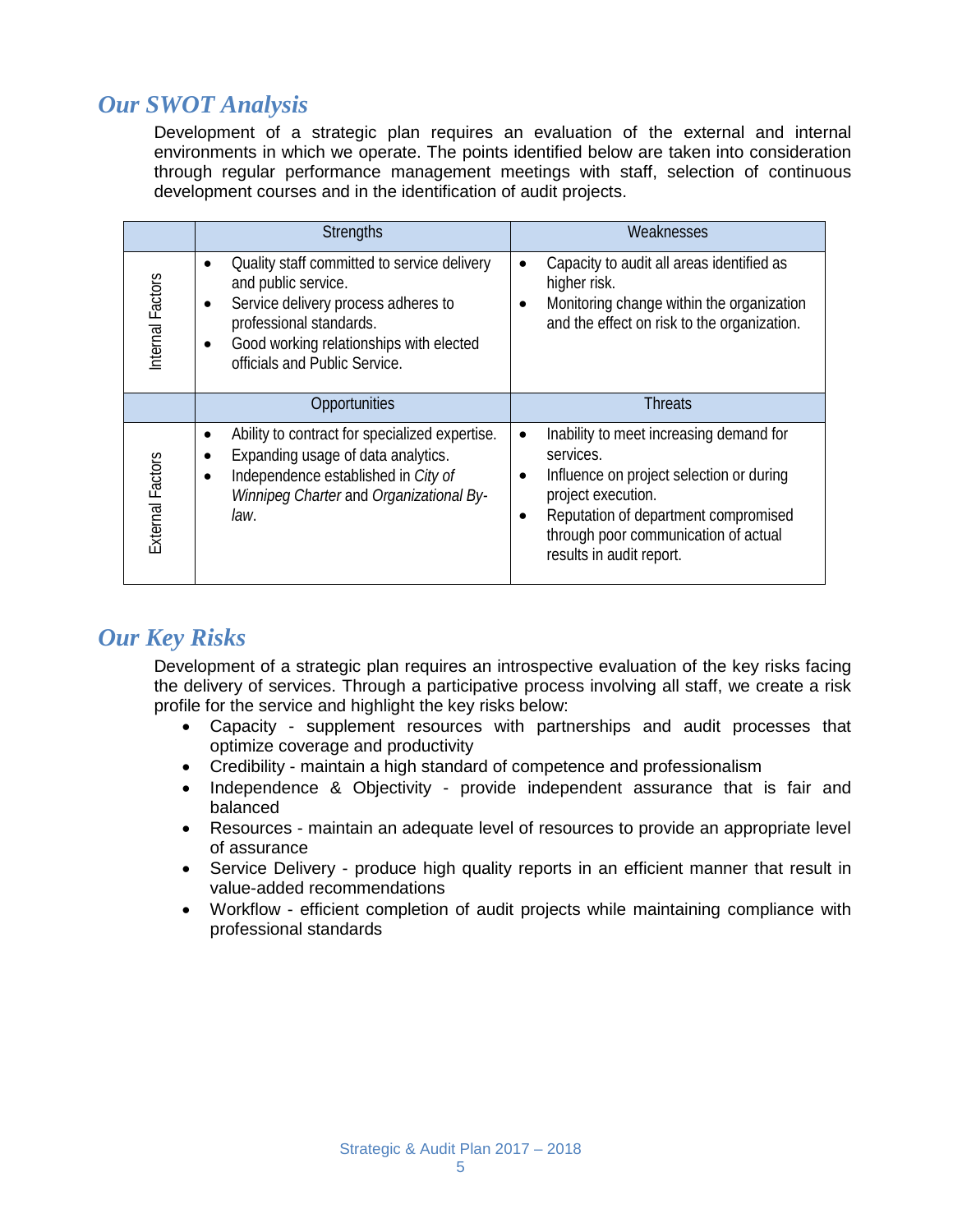## *Our SWOT Analysis*

Development of a strategic plan requires an evaluation of the external and internal environments in which we operate. The points identified below are taken into consideration through regular performance management meetings with staff, selection of continuous development courses and in the identification of audit projects.

|                         | <b>Strengths</b>                                                                                                                                                                                                              | Weaknesses                                                                                                                                                                                                                                                                |
|-------------------------|-------------------------------------------------------------------------------------------------------------------------------------------------------------------------------------------------------------------------------|---------------------------------------------------------------------------------------------------------------------------------------------------------------------------------------------------------------------------------------------------------------------------|
| Internal Factors        | Quality staff committed to service delivery<br>and public service.<br>Service delivery process adheres to<br>$\bullet$<br>professional standards.<br>Good working relationships with elected<br>officials and Public Service. | Capacity to audit all areas identified as<br>$\bullet$<br>higher risk.<br>Monitoring change within the organization<br>and the effect on risk to the organization.                                                                                                        |
|                         | Opportunities                                                                                                                                                                                                                 | <b>Threats</b>                                                                                                                                                                                                                                                            |
| <b>External Factors</b> | Ability to contract for specialized expertise.<br>$\bullet$<br>Expanding usage of data analytics.<br>Independence established in City of<br>Winnipeg Charter and Organizational By-<br>law.                                   | Inability to meet increasing demand for<br>$\bullet$<br>services.<br>Influence on project selection or during<br>$\bullet$<br>project execution.<br>Reputation of department compromised<br>$\bullet$<br>through poor communication of actual<br>results in audit report. |

#### *Our Key Risks*

Development of a strategic plan requires an introspective evaluation of the key risks facing the delivery of services. Through a participative process involving all staff, we create a risk profile for the service and highlight the key risks below:

- Capacity supplement resources with partnerships and audit processes that optimize coverage and productivity
- Credibility maintain a high standard of competence and professionalism
- Independence & Objectivity provide independent assurance that is fair and balanced
- Resources maintain an adequate level of resources to provide an appropriate level of assurance
- Service Delivery produce high quality reports in an efficient manner that result in value-added recommendations
- Workflow efficient completion of audit projects while maintaining compliance with professional standards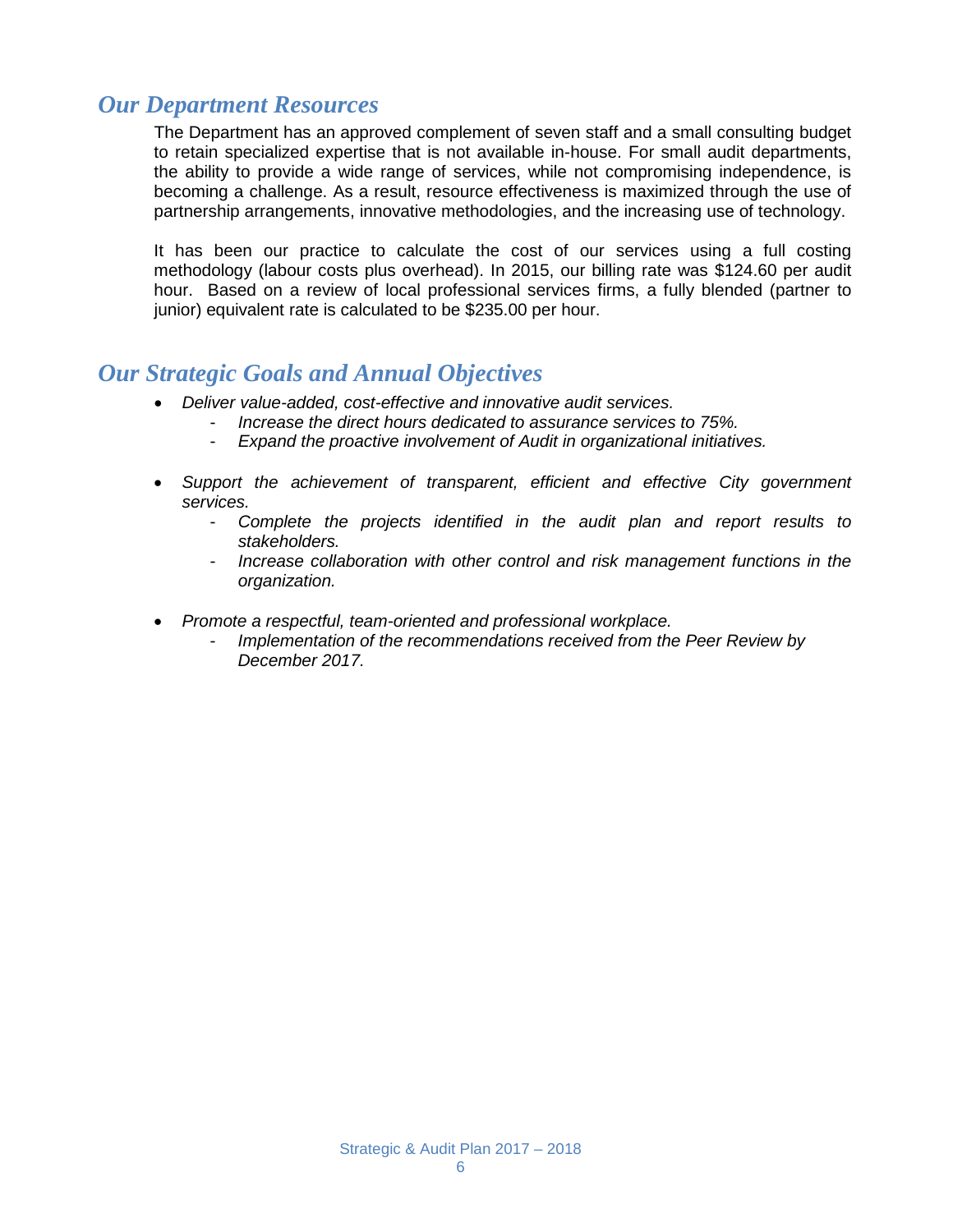#### *Our Department Resources*

The Department has an approved complement of seven staff and a small consulting budget to retain specialized expertise that is not available in-house. For small audit departments, the ability to provide a wide range of services, while not compromising independence, is becoming a challenge. As a result, resource effectiveness is maximized through the use of partnership arrangements, innovative methodologies, and the increasing use of technology.

It has been our practice to calculate the cost of our services using a full costing methodology (labour costs plus overhead). In 2015, our billing rate was \$124.60 per audit hour. Based on a review of local professional services firms, a fully blended (partner to junior) equivalent rate is calculated to be \$235.00 per hour.

#### *Our Strategic Goals and Annual Objectives*

- *Deliver value-added, cost-effective and innovative audit services.*
	- *Increase the direct hours dedicated to assurance services to 75%.*
	- *Expand the proactive involvement of Audit in organizational initiatives.*
- *Support the achievement of transparent, efficient and effective City government services.*
	- *Complete the projects identified in the audit plan and report results to stakeholders.*
	- *Increase collaboration with other control and risk management functions in the organization.*
- *Promote a respectful, team-oriented and professional workplace.*
	- *Implementation of the recommendations received from the Peer Review by December 2017.*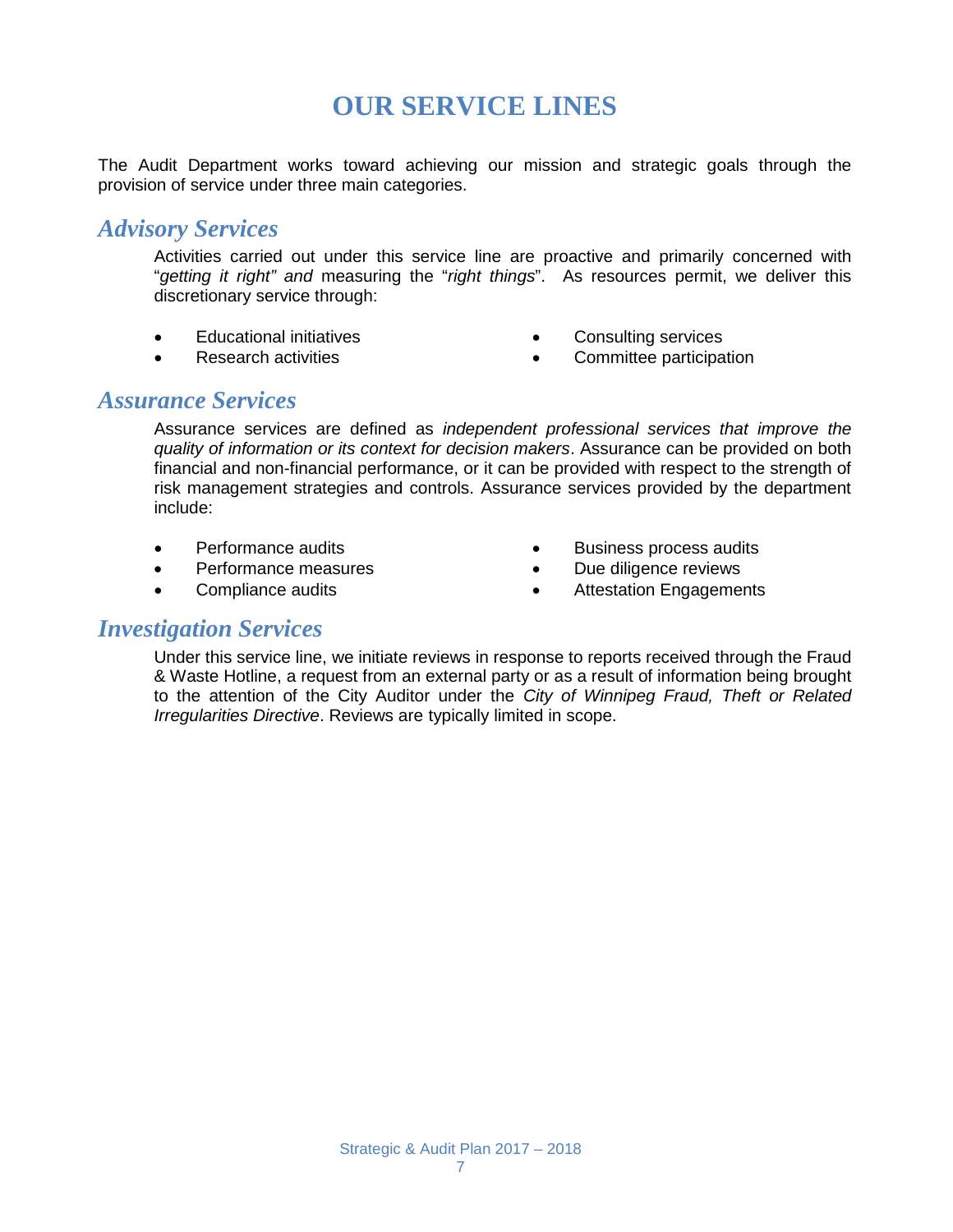## **OUR SERVICE LINES**

The Audit Department works toward achieving our mission and strategic goals through the provision of service under three main categories.

#### *Advisory Services*

Activities carried out under this service line are proactive and primarily concerned with "*getting it right" and* measuring the "*right things*". As resources permit, we deliver this discretionary service through:

- Educational initiatives
- Research activities
- Consulting services
- Committee participation

#### *Assurance Services*

Assurance services are defined as *independent professional services that improve the quality of information or its context for decision makers*. Assurance can be provided on both financial and non-financial performance, or it can be provided with respect to the strength of risk management strategies and controls. Assurance services provided by the department include:

- Performance audits
- Performance measures
- Compliance audits
- Business process audits
- Due diligence reviews
- Attestation Engagements

#### *Investigation Services*

Under this service line, we initiate reviews in response to reports received through the Fraud & Waste Hotline, a request from an external party or as a result of information being brought to the attention of the City Auditor under the *City of Winnipeg Fraud, Theft or Related Irregularities Directive*. Reviews are typically limited in scope.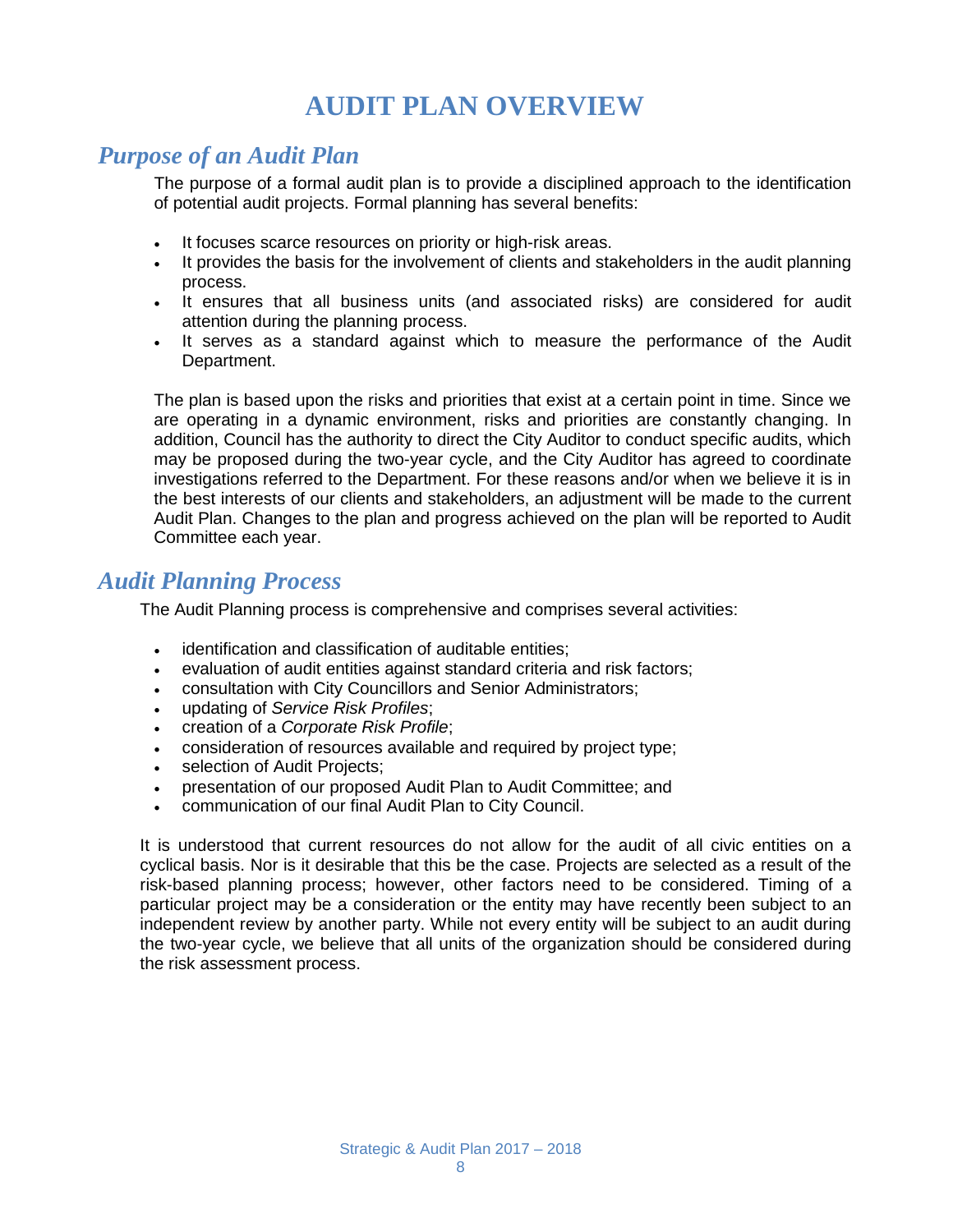## **AUDIT PLAN OVERVIEW**

#### *Purpose of an Audit Plan*

The purpose of a formal audit plan is to provide a disciplined approach to the identification of potential audit projects. Formal planning has several benefits:

- It focuses scarce resources on priority or high-risk areas.
- It provides the basis for the involvement of clients and stakeholders in the audit planning process.
- It ensures that all business units (and associated risks) are considered for audit attention during the planning process.
- It serves as a standard against which to measure the performance of the Audit Department.

The plan is based upon the risks and priorities that exist at a certain point in time. Since we are operating in a dynamic environment, risks and priorities are constantly changing. In addition, Council has the authority to direct the City Auditor to conduct specific audits, which may be proposed during the two-year cycle, and the City Auditor has agreed to coordinate investigations referred to the Department. For these reasons and/or when we believe it is in the best interests of our clients and stakeholders, an adjustment will be made to the current Audit Plan. Changes to the plan and progress achieved on the plan will be reported to Audit Committee each year.

#### *Audit Planning Process*

The Audit Planning process is comprehensive and comprises several activities:

- identification and classification of auditable entities;
- evaluation of audit entities against standard criteria and risk factors;
- consultation with City Councillors and Senior Administrators;
- updating of *Service Risk Profiles*;
- creation of a *Corporate Risk Profile*;
- consideration of resources available and required by project type;
- selection of Audit Projects;
- presentation of our proposed Audit Plan to Audit Committee; and
- communication of our final Audit Plan to City Council.

It is understood that current resources do not allow for the audit of all civic entities on a cyclical basis. Nor is it desirable that this be the case. Projects are selected as a result of the risk-based planning process; however, other factors need to be considered. Timing of a particular project may be a consideration or the entity may have recently been subject to an independent review by another party. While not every entity will be subject to an audit during the two-year cycle, we believe that all units of the organization should be considered during the risk assessment process.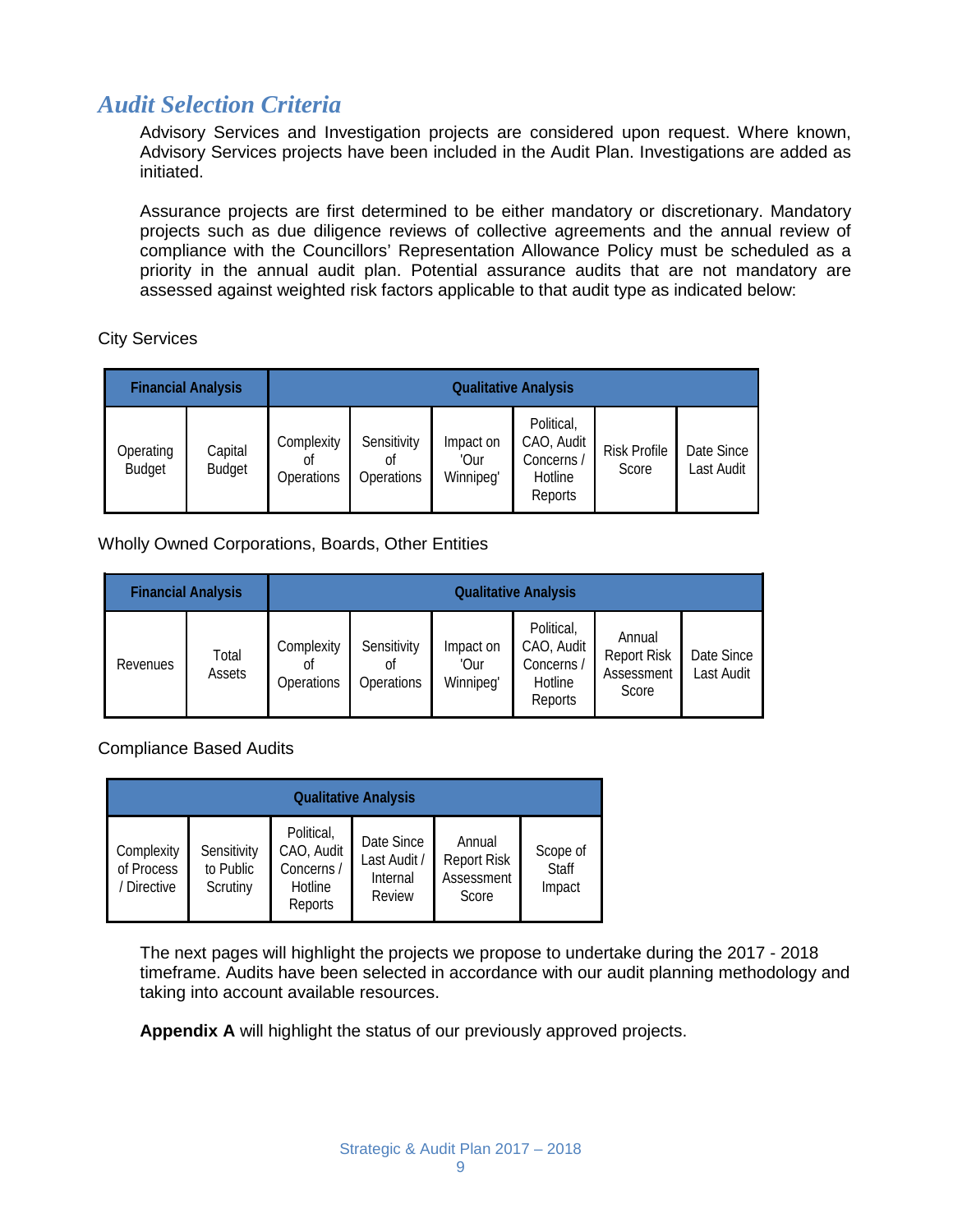#### *Audit Selection Criteria*

Advisory Services and Investigation projects are considered upon request. Where known, Advisory Services projects have been included in the Audit Plan. Investigations are added as initiated.

Assurance projects are first determined to be either mandatory or discretionary. Mandatory projects such as due diligence reviews of collective agreements and the annual review of compliance with the Councillors' Representation Allowance Policy must be scheduled as a priority in the annual audit plan. Potential assurance audits that are not mandatory are assessed against weighted risk factors applicable to that audit type as indicated below:

City Services

|                            | <b>Financial Analysis</b> | <b>Qualitative Analysis</b>    |                                 |                                |                                                              |                              |                          |
|----------------------------|---------------------------|--------------------------------|---------------------------------|--------------------------------|--------------------------------------------------------------|------------------------------|--------------------------|
| Operating<br><b>Budget</b> | Capital<br><b>Budget</b>  | Complexity<br>nt<br>Operations | Sensitivity<br>0ľ<br>Operations | Impact on<br>'Our<br>Winnipeg' | Political,<br>CAO, Audit<br>Concerns /<br>Hotline<br>Reports | <b>Risk Profile</b><br>Score | Date Since<br>Last Audit |

Wholly Owned Corporations, Boards, Other Entities

|          | <b>Financial Analysis</b> | <b>Qualitative Analysis</b>    |                                 |                                |                                                              |                                                     |                          |
|----------|---------------------------|--------------------------------|---------------------------------|--------------------------------|--------------------------------------------------------------|-----------------------------------------------------|--------------------------|
| Revenues | Total<br>Assets           | Complexity<br>0t<br>Operations | Sensitivity<br>Οf<br>Operations | Impact on<br>'Our<br>Winnipeg' | Political,<br>CAO, Audit<br>Concerns /<br>Hotline<br>Reports | Annual<br><b>Report Risk</b><br>Assessment<br>Score | Date Since<br>Last Audit |

Compliance Based Audits

| <b>Qualitative Analysis</b>             |                                      |                                                              |                                                  |                                                     |                                    |
|-----------------------------------------|--------------------------------------|--------------------------------------------------------------|--------------------------------------------------|-----------------------------------------------------|------------------------------------|
| Complexity<br>of Process<br>/ Directive | Sensitivity<br>to Public<br>Scrutiny | Political,<br>CAO, Audit<br>Concerns /<br>Hotline<br>Reports | Date Since<br>Last Audit /<br>Internal<br>Review | Annual<br><b>Report Risk</b><br>Assessment<br>Score | Scope of<br><b>Staff</b><br>Impact |

The next pages will highlight the projects we propose to undertake during the 2017 - 2018 timeframe. Audits have been selected in accordance with our audit planning methodology and taking into account available resources.

**Appendix A** will highlight the status of our previously approved projects.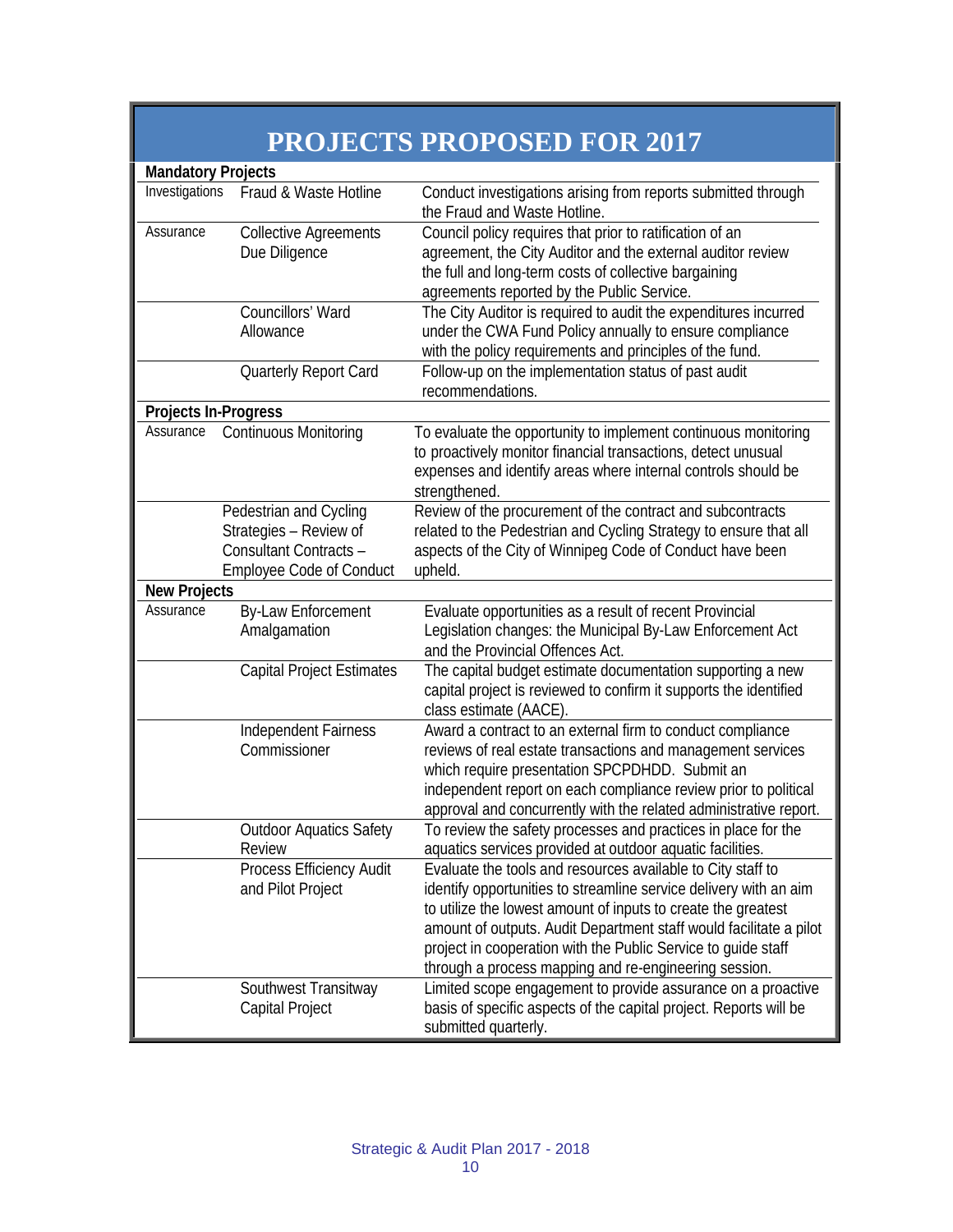|                      |                                                                                                               | <b>PROJECTS PROPOSED FOR 2017</b>                                                                                                                                                                                                                                                                                                                                                                 |  |  |  |
|----------------------|---------------------------------------------------------------------------------------------------------------|---------------------------------------------------------------------------------------------------------------------------------------------------------------------------------------------------------------------------------------------------------------------------------------------------------------------------------------------------------------------------------------------------|--|--|--|
|                      | <b>Mandatory Projects</b>                                                                                     |                                                                                                                                                                                                                                                                                                                                                                                                   |  |  |  |
| Investigations       | Fraud & Waste Hotline                                                                                         | Conduct investigations arising from reports submitted through<br>the Fraud and Waste Hotline.                                                                                                                                                                                                                                                                                                     |  |  |  |
| Assurance            | <b>Collective Agreements</b><br>Due Diligence                                                                 | Council policy requires that prior to ratification of an<br>agreement, the City Auditor and the external auditor review<br>the full and long-term costs of collective bargaining<br>agreements reported by the Public Service.                                                                                                                                                                    |  |  |  |
|                      | Councillors' Ward<br>Allowance<br>Quarterly Report Card                                                       | The City Auditor is required to audit the expenditures incurred<br>under the CWA Fund Policy annually to ensure compliance<br>with the policy requirements and principles of the fund.<br>Follow-up on the implementation status of past audit                                                                                                                                                    |  |  |  |
|                      |                                                                                                               | recommendations.                                                                                                                                                                                                                                                                                                                                                                                  |  |  |  |
| Projects In-Progress |                                                                                                               |                                                                                                                                                                                                                                                                                                                                                                                                   |  |  |  |
| Assurance            | <b>Continuous Monitoring</b>                                                                                  | To evaluate the opportunity to implement continuous monitoring<br>to proactively monitor financial transactions, detect unusual<br>expenses and identify areas where internal controls should be<br>strengthened.                                                                                                                                                                                 |  |  |  |
|                      | Pedestrian and Cycling<br>Strategies - Review of<br>Consultant Contracts -<br><b>Employee Code of Conduct</b> | Review of the procurement of the contract and subcontracts<br>related to the Pedestrian and Cycling Strategy to ensure that all<br>aspects of the City of Winnipeg Code of Conduct have been<br>upheld.                                                                                                                                                                                           |  |  |  |
| <b>New Projects</b>  |                                                                                                               |                                                                                                                                                                                                                                                                                                                                                                                                   |  |  |  |
| Assurance            | By-Law Enforcement<br>Amalgamation                                                                            | Evaluate opportunities as a result of recent Provincial<br>Legislation changes: the Municipal By-Law Enforcement Act<br>and the Provincial Offences Act.                                                                                                                                                                                                                                          |  |  |  |
|                      | <b>Capital Project Estimates</b>                                                                              | The capital budget estimate documentation supporting a new<br>capital project is reviewed to confirm it supports the identified<br>class estimate (AACE).                                                                                                                                                                                                                                         |  |  |  |
|                      | Independent Fairness<br>Commissioner                                                                          | Award a contract to an external firm to conduct compliance<br>reviews of real estate transactions and management services<br>which require presentation SPCPDHDD. Submit an<br>independent report on each compliance review prior to political<br>approval and concurrently with the related administrative report.                                                                               |  |  |  |
|                      | <b>Outdoor Aquatics Safety</b><br>Review                                                                      | To review the safety processes and practices in place for the<br>aquatics services provided at outdoor aquatic facilities.                                                                                                                                                                                                                                                                        |  |  |  |
|                      | Process Efficiency Audit<br>and Pilot Project                                                                 | Evaluate the tools and resources available to City staff to<br>identify opportunities to streamline service delivery with an aim<br>to utilize the lowest amount of inputs to create the greatest<br>amount of outputs. Audit Department staff would facilitate a pilot<br>project in cooperation with the Public Service to guide staff<br>through a process mapping and re-engineering session. |  |  |  |
|                      | Southwest Transitway<br>Capital Project                                                                       | Limited scope engagement to provide assurance on a proactive<br>basis of specific aspects of the capital project. Reports will be<br>submitted quarterly.                                                                                                                                                                                                                                         |  |  |  |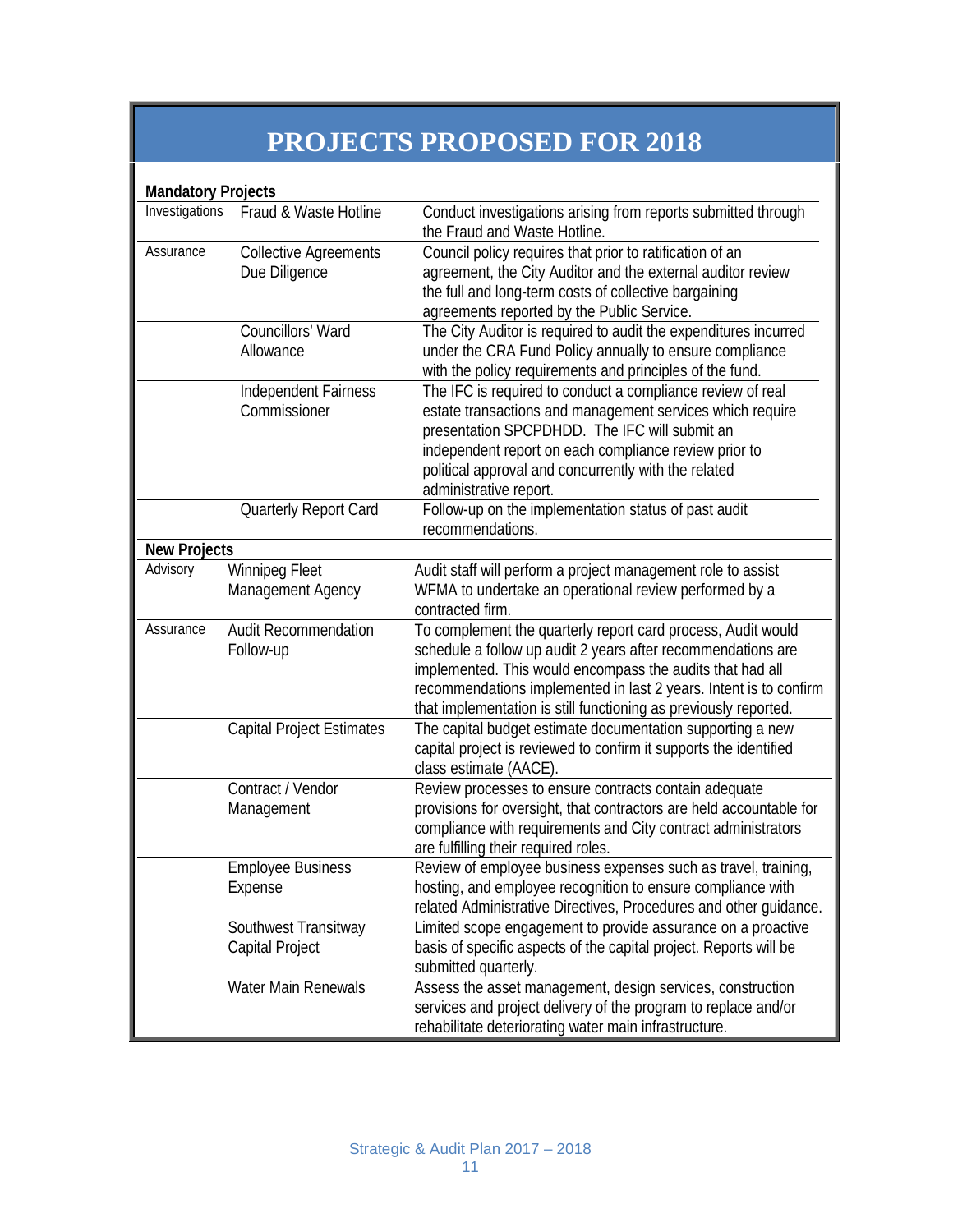# **PROJECTS PROPOSED FOR 2018**

| <b>Mandatory Projects</b> |                                  |                                                                     |
|---------------------------|----------------------------------|---------------------------------------------------------------------|
| Investigations            | Fraud & Waste Hotline            | Conduct investigations arising from reports submitted through       |
|                           |                                  | the Fraud and Waste Hotline.                                        |
| Assurance                 | <b>Collective Agreements</b>     | Council policy requires that prior to ratification of an            |
|                           | Due Diligence                    | agreement, the City Auditor and the external auditor review         |
|                           |                                  | the full and long-term costs of collective bargaining               |
|                           |                                  | agreements reported by the Public Service.                          |
|                           | Councillors' Ward                | The City Auditor is required to audit the expenditures incurred     |
|                           | Allowance                        | under the CRA Fund Policy annually to ensure compliance             |
|                           |                                  | with the policy requirements and principles of the fund.            |
|                           | Independent Fairness             | The IFC is required to conduct a compliance review of real          |
|                           | Commissioner                     | estate transactions and management services which require           |
|                           |                                  | presentation SPCPDHDD. The IFC will submit an                       |
|                           |                                  | independent report on each compliance review prior to               |
|                           |                                  | political approval and concurrently with the related                |
|                           |                                  | administrative report.                                              |
|                           | Quarterly Report Card            | Follow-up on the implementation status of past audit                |
|                           |                                  | recommendations.                                                    |
| <b>New Projects</b>       |                                  |                                                                     |
| Advisory                  | <b>Winnipeg Fleet</b>            | Audit staff will perform a project management role to assist        |
|                           | Management Agency                | WFMA to undertake an operational review performed by a              |
|                           |                                  | contracted firm.                                                    |
| Assurance                 | <b>Audit Recommendation</b>      | To complement the quarterly report card process, Audit would        |
|                           | Follow-up                        | schedule a follow up audit 2 years after recommendations are        |
|                           |                                  | implemented. This would encompass the audits that had all           |
|                           |                                  | recommendations implemented in last 2 years. Intent is to confirm   |
|                           |                                  | that implementation is still functioning as previously reported.    |
|                           | <b>Capital Project Estimates</b> | The capital budget estimate documentation supporting a new          |
|                           |                                  | capital project is reviewed to confirm it supports the identified   |
|                           |                                  | class estimate (AACE).                                              |
|                           | Contract / Vendor                | Review processes to ensure contracts contain adequate               |
|                           | Management                       | provisions for oversight, that contractors are held accountable for |
|                           |                                  | compliance with requirements and City contract administrators       |
|                           |                                  | are fulfilling their required roles.                                |
|                           | <b>Employee Business</b>         | Review of employee business expenses such as travel, training,      |
|                           | Expense                          | hosting, and employee recognition to ensure compliance with         |
|                           |                                  | related Administrative Directives, Procedures and other guidance.   |
|                           | Southwest Transitway             | Limited scope engagement to provide assurance on a proactive        |
|                           | Capital Project                  | basis of specific aspects of the capital project. Reports will be   |
|                           |                                  | submitted quarterly.                                                |
|                           | Water Main Renewals              | Assess the asset management, design services, construction          |
|                           |                                  | services and project delivery of the program to replace and/or      |
|                           |                                  | rehabilitate deteriorating water main infrastructure.               |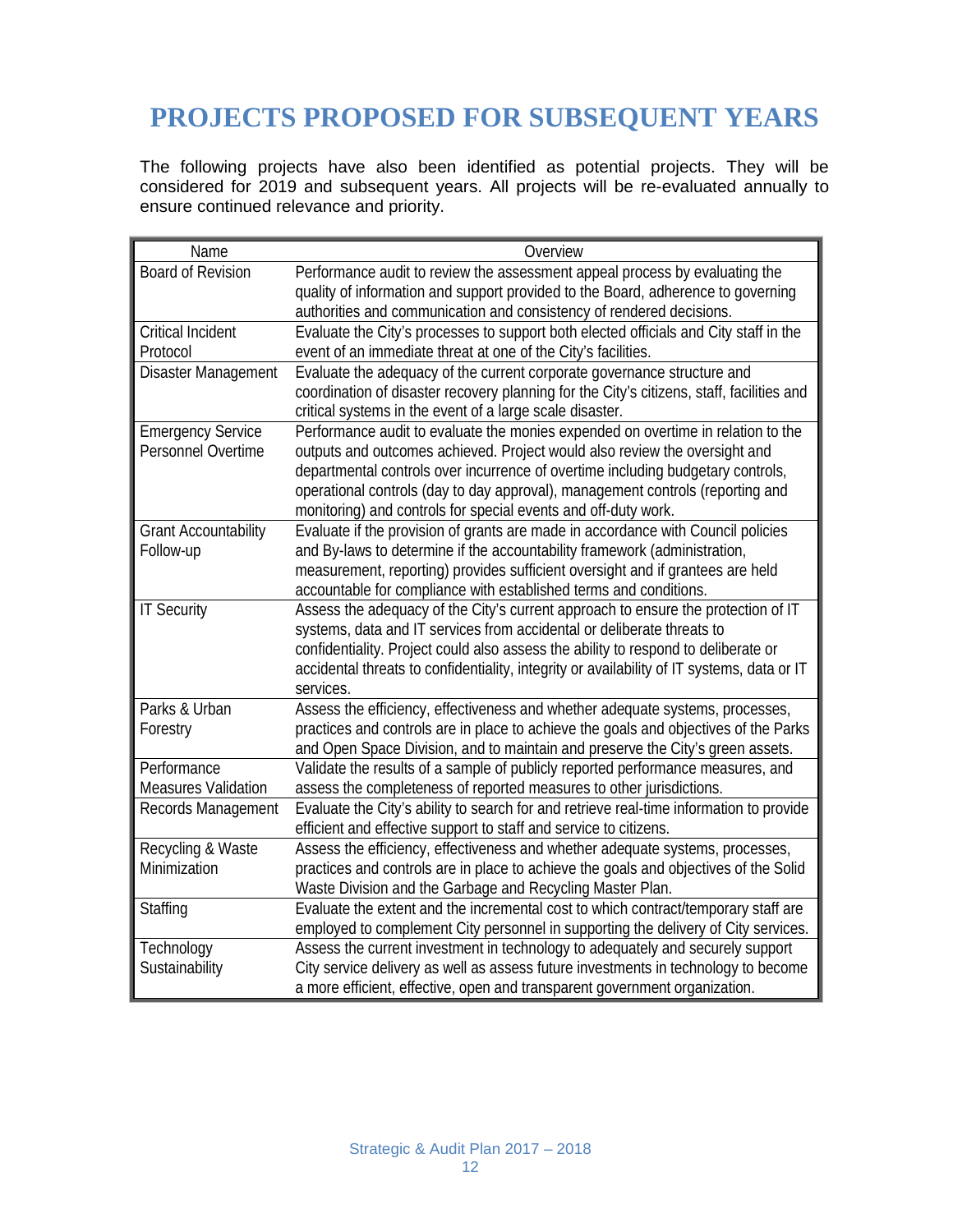## **PROJECTS PROPOSED FOR SUBSEQUENT YEARS**

The following projects have also been identified as potential projects. They will be considered for 2019 and subsequent years. All projects will be re-evaluated annually to ensure continued relevance and priority.

| Name                                      | Overview                                                                                   |
|-------------------------------------------|--------------------------------------------------------------------------------------------|
| <b>Board of Revision</b>                  | Performance audit to review the assessment appeal process by evaluating the                |
|                                           | quality of information and support provided to the Board, adherence to governing           |
|                                           | authorities and communication and consistency of rendered decisions.                       |
| <b>Critical Incident</b>                  | Evaluate the City's processes to support both elected officials and City staff in the      |
| Protocol                                  | event of an immediate threat at one of the City's facilities.                              |
| Disaster Management                       | Evaluate the adequacy of the current corporate governance structure and                    |
|                                           | coordination of disaster recovery planning for the City's citizens, staff, facilities and  |
|                                           | critical systems in the event of a large scale disaster.                                   |
| <b>Emergency Service</b>                  | Performance audit to evaluate the monies expended on overtime in relation to the           |
| Personnel Overtime                        | outputs and outcomes achieved. Project would also review the oversight and                 |
|                                           | departmental controls over incurrence of overtime including budgetary controls,            |
|                                           | operational controls (day to day approval), management controls (reporting and             |
|                                           | monitoring) and controls for special events and off-duty work.                             |
| <b>Grant Accountability</b>               | Evaluate if the provision of grants are made in accordance with Council policies           |
| Follow-up                                 | and By-laws to determine if the accountability framework (administration,                  |
|                                           | measurement, reporting) provides sufficient oversight and if grantees are held             |
|                                           | accountable for compliance with established terms and conditions.                          |
| <b>IT Security</b>                        | Assess the adequacy of the City's current approach to ensure the protection of IT          |
|                                           | systems, data and IT services from accidental or deliberate threats to                     |
|                                           | confidentiality. Project could also assess the ability to respond to deliberate or         |
|                                           | accidental threats to confidentiality, integrity or availability of IT systems, data or IT |
|                                           | services.                                                                                  |
| Parks & Urban                             | Assess the efficiency, effectiveness and whether adequate systems, processes,              |
| Forestry                                  | practices and controls are in place to achieve the goals and objectives of the Parks       |
|                                           | and Open Space Division, and to maintain and preserve the City's green assets.             |
| Performance<br><b>Measures Validation</b> | Validate the results of a sample of publicly reported performance measures, and            |
|                                           | assess the completeness of reported measures to other jurisdictions.                       |
| Records Management                        | Evaluate the City's ability to search for and retrieve real-time information to provide    |
|                                           | efficient and effective support to staff and service to citizens.                          |
| Recycling & Waste                         | Assess the efficiency, effectiveness and whether adequate systems, processes,              |
| Minimization                              | practices and controls are in place to achieve the goals and objectives of the Solid       |
|                                           | Waste Division and the Garbage and Recycling Master Plan.                                  |
| Staffing                                  | Evaluate the extent and the incremental cost to which contract/temporary staff are         |
|                                           | employed to complement City personnel in supporting the delivery of City services.         |
| Technology                                | Assess the current investment in technology to adequately and securely support             |
| Sustainability                            | City service delivery as well as assess future investments in technology to become         |
|                                           | a more efficient, effective, open and transparent government organization.                 |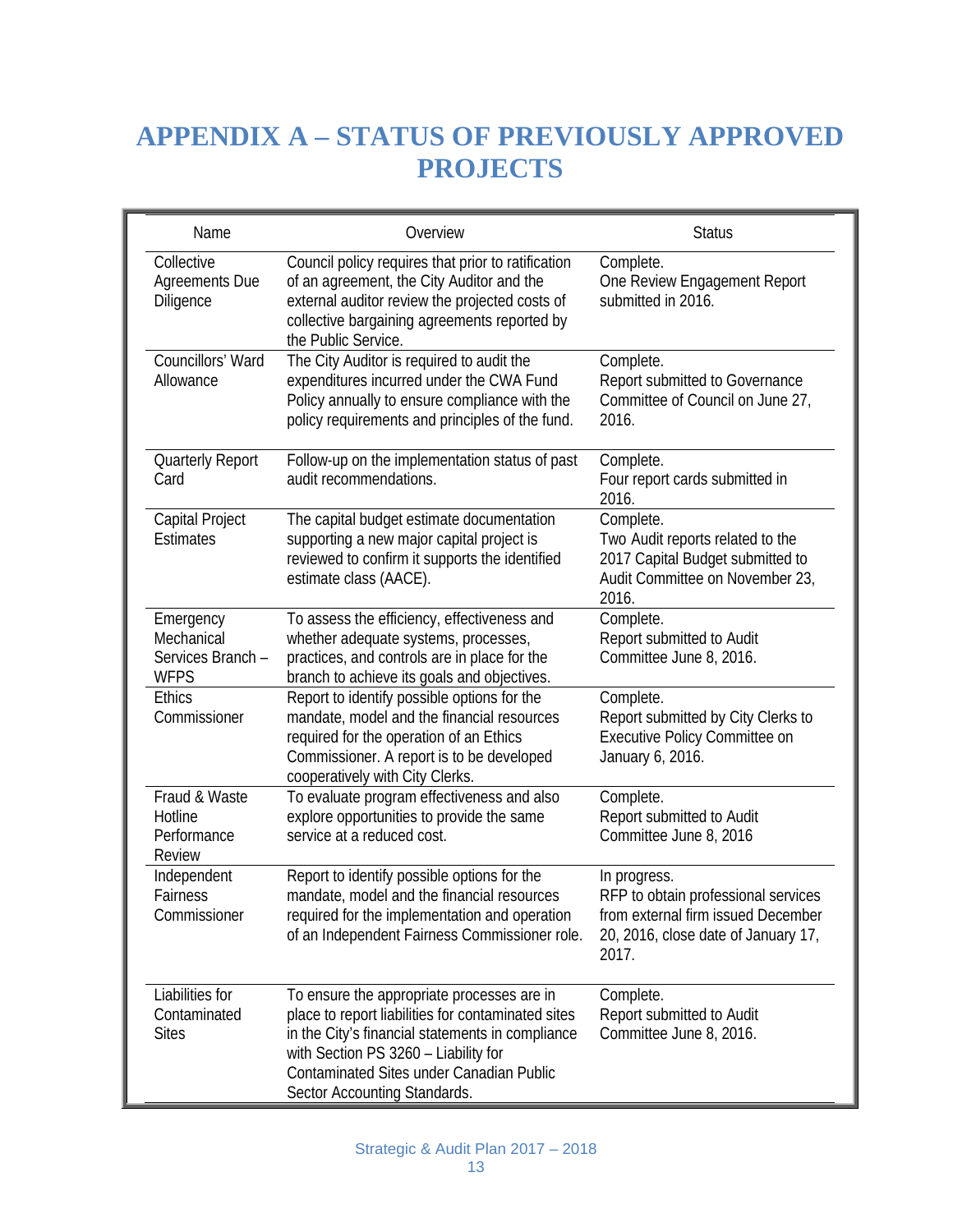## **APPENDIX A – STATUS OF PREVIOUSLY APPROVED PROJECTS**

| Name                                                        | Overview                                                                                                                                                                                                                                                                 | <b>Status</b>                                                                                                                             |
|-------------------------------------------------------------|--------------------------------------------------------------------------------------------------------------------------------------------------------------------------------------------------------------------------------------------------------------------------|-------------------------------------------------------------------------------------------------------------------------------------------|
| Collective<br>Agreements Due<br>Diligence                   | Council policy requires that prior to ratification<br>of an agreement, the City Auditor and the<br>external auditor review the projected costs of<br>collective bargaining agreements reported by<br>the Public Service.                                                 | Complete.<br>One Review Engagement Report<br>submitted in 2016.                                                                           |
| Councillors' Ward<br>Allowance                              | The City Auditor is required to audit the<br>expenditures incurred under the CWA Fund<br>Policy annually to ensure compliance with the<br>policy requirements and principles of the fund.                                                                                | Complete.<br>Report submitted to Governance<br>Committee of Council on June 27,<br>2016.                                                  |
| <b>Quarterly Report</b><br>Card                             | Follow-up on the implementation status of past<br>audit recommendations.                                                                                                                                                                                                 | Complete.<br>Four report cards submitted in<br>2016.                                                                                      |
| Capital Project<br><b>Estimates</b>                         | The capital budget estimate documentation<br>supporting a new major capital project is<br>reviewed to confirm it supports the identified<br>estimate class (AACE).                                                                                                       | Complete.<br>Two Audit reports related to the<br>2017 Capital Budget submitted to<br>Audit Committee on November 23,<br>2016.             |
| Emergency<br>Mechanical<br>Services Branch -<br><b>WFPS</b> | To assess the efficiency, effectiveness and<br>whether adequate systems, processes,<br>practices, and controls are in place for the<br>branch to achieve its goals and objectives.                                                                                       | Complete.<br>Report submitted to Audit<br>Committee June 8, 2016.                                                                         |
| <b>Ethics</b><br>Commissioner                               | Report to identify possible options for the<br>mandate, model and the financial resources<br>required for the operation of an Ethics<br>Commissioner. A report is to be developed<br>cooperatively with City Clerks.                                                     | Complete.<br>Report submitted by City Clerks to<br>Executive Policy Committee on<br>January 6, 2016.                                      |
| Fraud & Waste<br>Hotline<br>Performance<br>Review           | To evaluate program effectiveness and also<br>explore opportunities to provide the same<br>service at a reduced cost.                                                                                                                                                    | Complete.<br>Report submitted to Audit<br>Committee June 8, 2016                                                                          |
| Independent<br>Fairness<br>Commissioner                     | Report to identify possible options for the<br>mandate, model and the financial resources<br>required for the implementation and operation<br>of an Independent Fairness Commissioner role.                                                                              | In progress.<br>RFP to obtain professional services<br>from external firm issued December<br>20, 2016, close date of January 17,<br>2017. |
| Liabilities for<br>Contaminated<br><b>Sites</b>             | To ensure the appropriate processes are in<br>place to report liabilities for contaminated sites<br>in the City's financial statements in compliance<br>with Section PS 3260 - Liability for<br>Contaminated Sites under Canadian Public<br>Sector Accounting Standards. | Complete.<br>Report submitted to Audit<br>Committee June 8, 2016.                                                                         |